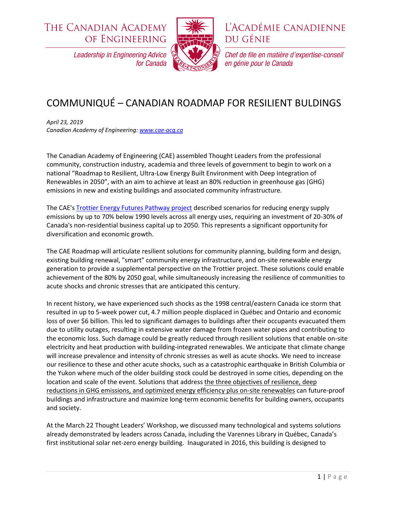**THE CANADIAN ACADEMY** OF ENGINEERING



L'ACADÉMIE CANADIENNE **DU GÉNIE** 

Chef de file en matière d'expertise-conseil

en génie pour le Canada

**Leadership in Engineering Advice** for Canada

## COMMUNIQUÉ – CANADIAN ROADMAP FOR RESILIENT BULDINGS

*April 23, 2019 Canadian Academy of Engineering: [www.cae-acg.ca](http://www.cae-acg.ca/)*

The Canadian Academy of Engineering (CAE) assembled Thought Leaders from the professional community, construction industry, academia and three levels of government to begin to work on a national "Roadmap to Resilient, Ultra-Low Energy Built Environment with Deep Integration of Renewables in 2050", with an aim to achieve at least an 80% reduction in greenhouse gas (GHG) emissions in new and existing buildings and associated community infrastructure.

The CAE's [Trottier Energy Futures Pathway project](https://www.cae-acg.ca/projects/trottier-energy-futures-project/?) described scenarios for reducing energy supply emissions by up to 70% below 1990 levels across all energy uses, requiring an investment of 20-30% of Canada's non-residential business capital up to 2050. This represents a significant opportunity for diversification and economic growth.

The CAE Roadmap will articulate resilient solutions for community planning, building form and design, existing building renewal, "smart" community energy infrastructure, and on-site renewable energy generation to provide a supplemental perspective on the Trottier project. These solutions could enable achievement of the 80% by 2050 goal, while simultaneously increasing the resilience of communities to acute shocks and chronic stresses that are anticipated this century.

In recent history, we have experienced such shocks as the 1998 central/eastern Canada ice storm that resulted in up to 5-week power cut, 4.7 million people displaced in Québec and Ontario and economic loss of over \$6 billion. This led to significant damages to buildings after their occupants evacuated them due to utility outages, resulting in extensive water damage from frozen water pipes and contributing to the economic loss. Such damage could be greatly reduced through resilient solutions that enable on-site electricity and heat production with building-integrated renewables. We anticipate that climate change will increase prevalence and intensity of chronic stresses as well as acute shocks. We need to increase our resilience to these and other acute shocks, such as a catastrophic earthquake in British Columbia or the Yukon where much of the older building stock could be destroyed in some cities, depending on the location and scale of the event. Solutions that address the three objectives of resilience, deep reductions in GHG emissions, and optimized energy efficiency plus on-site renewables can future-proof buildings and infrastructure and maximize long-term economic benefits for building owners, occupants and society.

At the March 22 Thought Leaders' Workshop, we discussed many technological and systems solutions already demonstrated by leaders across Canada, including the Varennes Library in Québec, Canada's first institutional solar net-zero energy building. Inaugurated in 2016, this building is designed to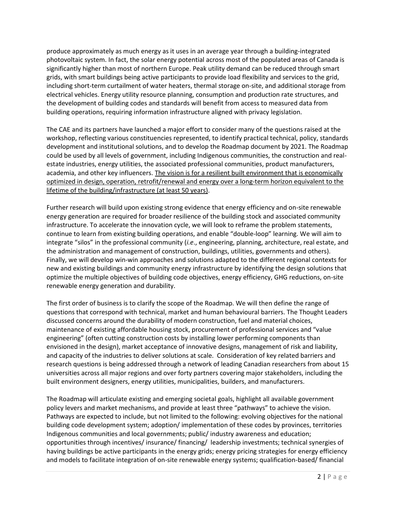produce approximately as much energy as it uses in an average year through a building-integrated photovoltaic system. In fact, the solar energy potential across most of the populated areas of Canada is significantly higher than most of northern Europe. Peak utility demand can be reduced through smart grids, with smart buildings being active participants to provide load flexibility and services to the grid, including short-term curtailment of water heaters, thermal storage on-site, and additional storage from electrical vehicles. Energy utility resource planning, consumption and production rate structures, and the development of building codes and standards will benefit from access to measured data from building operations, requiring information infrastructure aligned with privacy legislation.

The CAE and its partners have launched a major effort to consider many of the questions raised at the workshop, reflecting various constituencies represented, to identify practical technical, policy, standards development and institutional solutions, and to develop the Roadmap document by 2021. The Roadmap could be used by all levels of government, including Indigenous communities, the construction and realestate industries, energy utilities, the associated professional communities, product manufacturers, academia, and other key influencers. The vision is for a resilient built environment that is economically optimized in design, operation, retrofit/renewal and energy over a long-term horizon equivalent to the lifetime of the building/infrastructure (at least 50 years).

Further research will build upon existing strong evidence that energy efficiency and on-site renewable energy generation are required for broader resilience of the building stock and associated community infrastructure. To accelerate the innovation cycle, we will look to reframe the problem statements, continue to learn from existing building operations, and enable "double-loop" learning. We will aim to integrate "silos" in the professional community (*i.e*., engineering, planning, architecture, real estate, and the administration and management of construction, buildings, utilities, governments and others). Finally, we will develop win-win approaches and solutions adapted to the different regional contexts for new and existing buildings and community energy infrastructure by identifying the design solutions that optimize the multiple objectives of building code objectives, energy efficiency, GHG reductions, on-site renewable energy generation and durability.

The first order of business is to clarify the scope of the Roadmap. We will then define the range of questions that correspond with technical, market and human behavioural barriers. The Thought Leaders discussed concerns around the durability of modern construction, fuel and material choices, maintenance of existing affordable housing stock, procurement of professional services and "value engineering" (often cutting construction costs by installing lower performing components than envisioned in the design), market acceptance of innovative designs, management of risk and liability, and capacity of the industries to deliver solutions at scale. Consideration of key related barriers and research questions is being addressed through a network of leading Canadian researchers from about 15 universities across all major regions and over forty partners covering major stakeholders, including the built environment designers, energy utilities, municipalities, builders, and manufacturers.

The Roadmap will articulate existing and emerging societal goals, highlight all available government policy levers and market mechanisms, and provide at least three "pathways" to achieve the vision. Pathways are expected to include, but not limited to the following: evolving objectives for the national building code development system; adoption/ implementation of these codes by provinces, territories Indigenous communities and local governments; public/ industry awareness and education; opportunities through incentives/ insurance/ financing/ leadership investments; technical synergies of having buildings be active participants in the energy grids; energy pricing strategies for energy efficiency and models to facilitate integration of on-site renewable energy systems; qualification-based/ financial